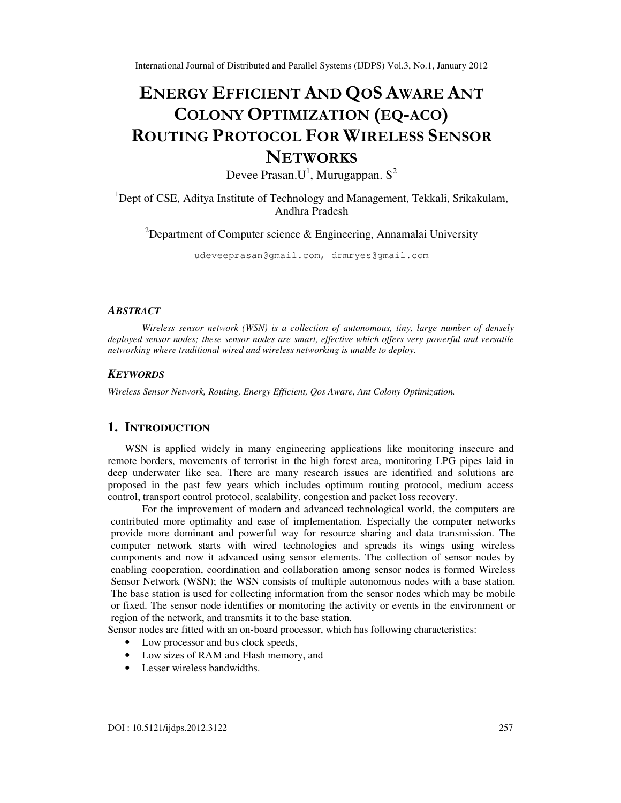# ENERGY EFFICIENT AND QOS AWARE ANT COLONY OPTIMIZATION (EQ-ACO) ROUTING PROTOCOL FOR WIRELESS SENSOR **NETWORKS**

Devee Prasan. $U^1$ , Murugappan. S<sup>2</sup>

<sup>1</sup>Dept of CSE, Aditya Institute of Technology and Management, Tekkali, Srikakulam, Andhra Pradesh

<sup>2</sup>Department of Computer science & Engineering, Annamalai University

udeveeprasan@gmail.com, drmryes@gmail.com

#### *ABSTRACT*

*Wireless sensor network (WSN) is a collection of autonomous, tiny, large number of densely deployed sensor nodes; these sensor nodes are smart, effective which offers very powerful and versatile networking where traditional wired and wireless networking is unable to deploy.* 

## *KEYWORDS*

*Wireless Sensor Network, Routing, Energy Efficient, Qos Aware, Ant Colony Optimization.* 

# **1. INTRODUCTION**

WSN is applied widely in many engineering applications like monitoring insecure and remote borders, movements of terrorist in the high forest area, monitoring LPG pipes laid in deep underwater like sea. There are many research issues are identified and solutions are proposed in the past few years which includes optimum routing protocol, medium access control, transport control protocol, scalability, congestion and packet loss recovery.

For the improvement of modern and advanced technological world, the computers are contributed more optimality and ease of implementation. Especially the computer networks provide more dominant and powerful way for resource sharing and data transmission. The computer network starts with wired technologies and spreads its wings using wireless components and now it advanced using sensor elements. The collection of sensor nodes by enabling cooperation, coordination and collaboration among sensor nodes is formed Wireless Sensor Network (WSN); the WSN consists of multiple autonomous nodes with a base station. The base station is used for collecting information from the sensor nodes which may be mobile or fixed. The sensor node identifies or monitoring the activity or events in the environment or region of the network, and transmits it to the base station.

Sensor nodes are fitted with an on-board processor, which has following characteristics:

- Low processor and bus clock speeds,
- Low sizes of RAM and Flash memory, and
- Lesser wireless bandwidths.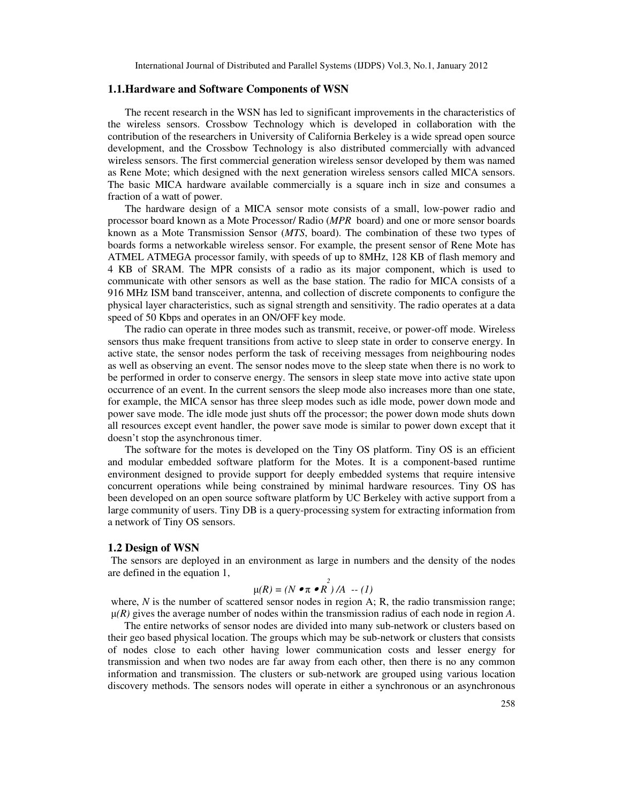## **1.1.Hardware and Software Components of WSN**

The recent research in the WSN has led to significant improvements in the characteristics of the wireless sensors. Crossbow Technology which is developed in collaboration with the contribution of the researchers in University of California Berkeley is a wide spread open source development, and the Crossbow Technology is also distributed commercially with advanced wireless sensors. The first commercial generation wireless sensor developed by them was named as Rene Mote; which designed with the next generation wireless sensors called MICA sensors. The basic MICA hardware available commercially is a square inch in size and consumes a fraction of a watt of power.

The hardware design of a MICA sensor mote consists of a small, low-power radio and processor board known as a Mote Processor/ Radio (*MPR* board) and one or more sensor boards known as a Mote Transmission Sensor (*MTS*, board). The combination of these two types of boards forms a networkable wireless sensor. For example, the present sensor of Rene Mote has ATMEL ATMEGA processor family, with speeds of up to 8MHz, 128 KB of flash memory and 4 KB of SRAM. The MPR consists of a radio as its major component, which is used to communicate with other sensors as well as the base station. The radio for MICA consists of a 916 MHz ISM band transceiver, antenna, and collection of discrete components to configure the physical layer characteristics, such as signal strength and sensitivity. The radio operates at a data speed of 50 Kbps and operates in an ON/OFF key mode.

The radio can operate in three modes such as transmit, receive, or power-off mode. Wireless sensors thus make frequent transitions from active to sleep state in order to conserve energy. In active state, the sensor nodes perform the task of receiving messages from neighbouring nodes as well as observing an event. The sensor nodes move to the sleep state when there is no work to be performed in order to conserve energy. The sensors in sleep state move into active state upon occurrence of an event. In the current sensors the sleep mode also increases more than one state, for example, the MICA sensor has three sleep modes such as idle mode, power down mode and power save mode. The idle mode just shuts off the processor; the power down mode shuts down all resources except event handler, the power save mode is similar to power down except that it doesn't stop the asynchronous timer.

The software for the motes is developed on the Tiny OS platform. Tiny OS is an efficient and modular embedded software platform for the Motes. It is a component-based runtime environment designed to provide support for deeply embedded systems that require intensive concurrent operations while being constrained by minimal hardware resources. Tiny OS has been developed on an open source software platform by UC Berkeley with active support from a large community of users. Tiny DB is a query-processing system for extracting information from a network of Tiny OS sensors.

## **1.2 Design of WSN**

The sensors are deployed in an environment as large in numbers and the density of the nodes are defined in the equation 1, *2*

$$
\mu(R) = (N \bullet \pi \bullet R^{\top})/A - (1)
$$

where, *N* is the number of scattered sensor nodes in region A; R, the radio transmission range; µ*(R)* gives the average number of nodes within the transmission radius of each node in region *A*.

 The entire networks of sensor nodes are divided into many sub-network or clusters based on their geo based physical location. The groups which may be sub-network or clusters that consists of nodes close to each other having lower communication costs and lesser energy for transmission and when two nodes are far away from each other, then there is no any common information and transmission. The clusters or sub-network are grouped using various location discovery methods. The sensors nodes will operate in either a synchronous or an asynchronous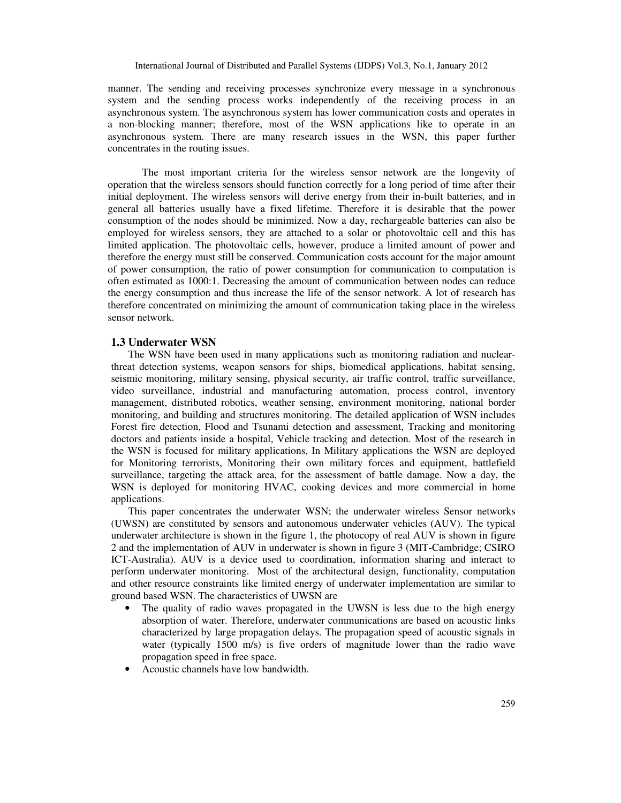manner. The sending and receiving processes synchronize every message in a synchronous system and the sending process works independently of the receiving process in an asynchronous system. The asynchronous system has lower communication costs and operates in a non-blocking manner; therefore, most of the WSN applications like to operate in an asynchronous system. There are many research issues in the WSN, this paper further concentrates in the routing issues.

The most important criteria for the wireless sensor network are the longevity of operation that the wireless sensors should function correctly for a long period of time after their initial deployment. The wireless sensors will derive energy from their in-built batteries, and in general all batteries usually have a fixed lifetime. Therefore it is desirable that the power consumption of the nodes should be minimized. Now a day, rechargeable batteries can also be employed for wireless sensors, they are attached to a solar or photovoltaic cell and this has limited application. The photovoltaic cells, however, produce a limited amount of power and therefore the energy must still be conserved. Communication costs account for the major amount of power consumption, the ratio of power consumption for communication to computation is often estimated as 1000:1. Decreasing the amount of communication between nodes can reduce the energy consumption and thus increase the life of the sensor network. A lot of research has therefore concentrated on minimizing the amount of communication taking place in the wireless sensor network.

### **1.3 Underwater WSN**

The WSN have been used in many applications such as monitoring radiation and nuclearthreat detection systems, weapon sensors for ships, biomedical applications, habitat sensing, seismic monitoring, military sensing, physical security, air traffic control, traffic surveillance, video surveillance, industrial and manufacturing automation, process control, inventory management, distributed robotics, weather sensing, environment monitoring, national border monitoring, and building and structures monitoring. The detailed application of WSN includes Forest fire detection, Flood and Tsunami detection and assessment, Tracking and monitoring doctors and patients inside a hospital, Vehicle tracking and detection. Most of the research in the WSN is focused for military applications, In Military applications the WSN are deployed for Monitoring terrorists, Monitoring their own military forces and equipment, battlefield surveillance, targeting the attack area, for the assessment of battle damage. Now a day, the WSN is deployed for monitoring HVAC, cooking devices and more commercial in home applications.

This paper concentrates the underwater WSN; the underwater wireless Sensor networks (UWSN) are constituted by sensors and autonomous underwater vehicles (AUV). The typical underwater architecture is shown in the figure 1, the photocopy of real AUV is shown in figure 2 and the implementation of AUV in underwater is shown in figure 3 (MIT-Cambridge; CSIRO ICT-Australia). AUV is a device used to coordination, information sharing and interact to perform underwater monitoring. Most of the architectural design, functionality, computation and other resource constraints like limited energy of underwater implementation are similar to ground based WSN. The characteristics of UWSN are

- The quality of radio waves propagated in the UWSN is less due to the high energy absorption of water. Therefore, underwater communications are based on acoustic links characterized by large propagation delays. The propagation speed of acoustic signals in water (typically 1500 m/s) is five orders of magnitude lower than the radio wave propagation speed in free space.
- Acoustic channels have low bandwidth.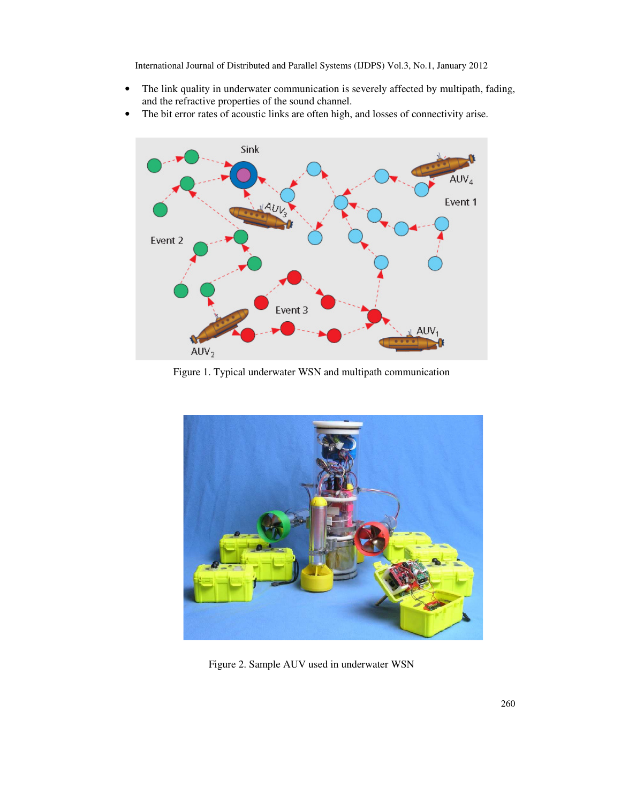- The link quality in underwater communication is severely affected by multipath, fading, and the refractive properties of the sound channel.
- The bit error rates of acoustic links are often high, and losses of connectivity arise.



Figure 1. Typical underwater WSN and multipath communication



Figure 2. Sample AUV used in underwater WSN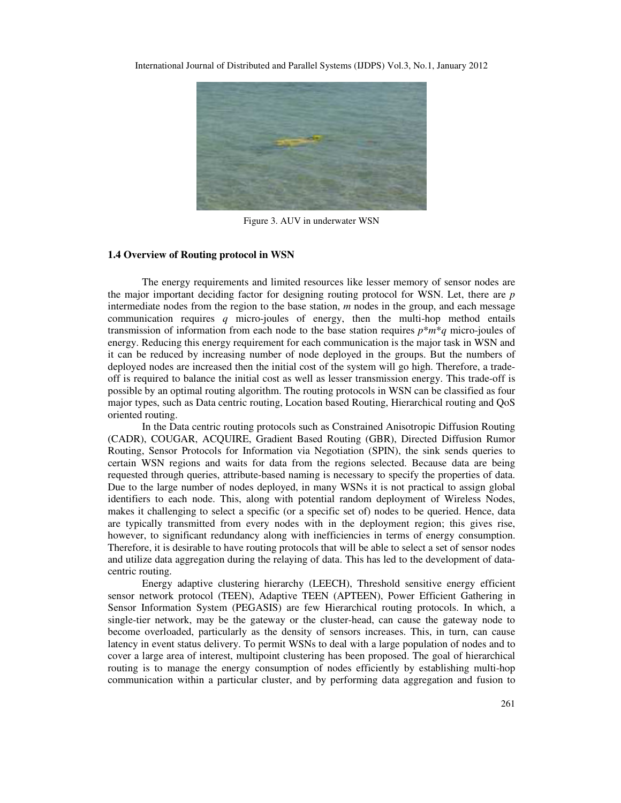

Figure 3. AUV in underwater WSN

### **1.4 Overview of Routing protocol in WSN**

The energy requirements and limited resources like lesser memory of sensor nodes are the major important deciding factor for designing routing protocol for WSN. Let, there are *p*  intermediate nodes from the region to the base station, *m* nodes in the group, and each message communication requires *q* micro-joules of energy, then the multi-hop method entails transmission of information from each node to the base station requires *p*\**m*\**q* micro-joules of energy. Reducing this energy requirement for each communication is the major task in WSN and it can be reduced by increasing number of node deployed in the groups. But the numbers of deployed nodes are increased then the initial cost of the system will go high. Therefore, a tradeoff is required to balance the initial cost as well as lesser transmission energy. This trade-off is possible by an optimal routing algorithm. The routing protocols in WSN can be classified as four major types, such as Data centric routing, Location based Routing, Hierarchical routing and QoS oriented routing.

In the Data centric routing protocols such as Constrained Anisotropic Diffusion Routing (CADR), COUGAR, ACQUIRE, Gradient Based Routing (GBR), Directed Diffusion Rumor Routing, Sensor Protocols for Information via Negotiation (SPIN), the sink sends queries to certain WSN regions and waits for data from the regions selected. Because data are being requested through queries, attribute-based naming is necessary to specify the properties of data. Due to the large number of nodes deployed, in many WSNs it is not practical to assign global identifiers to each node. This, along with potential random deployment of Wireless Nodes, makes it challenging to select a specific (or a specific set of) nodes to be queried. Hence, data are typically transmitted from every nodes with in the deployment region; this gives rise, however, to significant redundancy along with inefficiencies in terms of energy consumption. Therefore, it is desirable to have routing protocols that will be able to select a set of sensor nodes and utilize data aggregation during the relaying of data. This has led to the development of datacentric routing.

Energy adaptive clustering hierarchy (LEECH), Threshold sensitive energy efficient sensor network protocol (TEEN), Adaptive TEEN (APTEEN), Power Efficient Gathering in Sensor Information System (PEGASIS) are few Hierarchical routing protocols. In which, a single-tier network, may be the gateway or the cluster-head, can cause the gateway node to become overloaded, particularly as the density of sensors increases. This, in turn, can cause latency in event status delivery. To permit WSNs to deal with a large population of nodes and to cover a large area of interest, multipoint clustering has been proposed. The goal of hierarchical routing is to manage the energy consumption of nodes efficiently by establishing multi-hop communication within a particular cluster, and by performing data aggregation and fusion to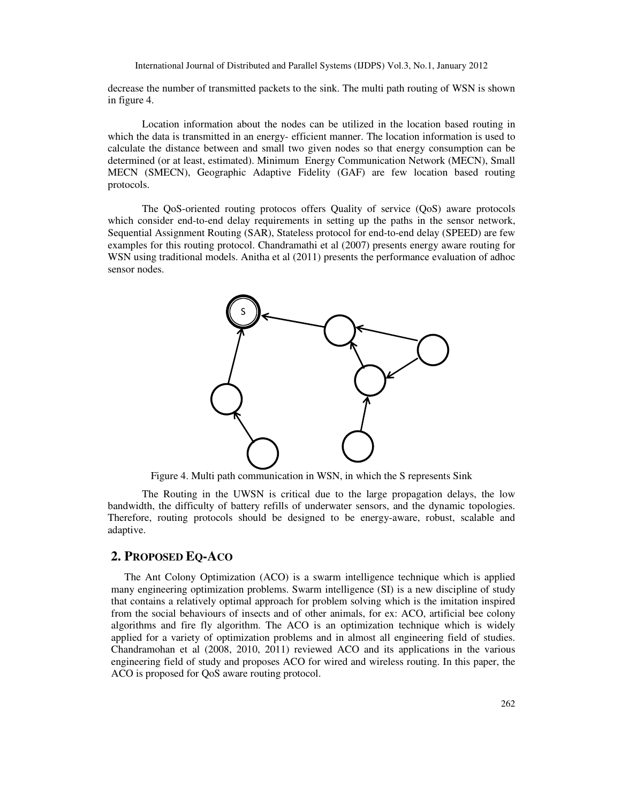decrease the number of transmitted packets to the sink. The multi path routing of WSN is shown in figure 4.

Location information about the nodes can be utilized in the location based routing in which the data is transmitted in an energy- efficient manner. The location information is used to calculate the distance between and small two given nodes so that energy consumption can be determined (or at least, estimated). Minimum Energy Communication Network (MECN), Small MECN (SMECN), Geographic Adaptive Fidelity (GAF) are few location based routing protocols.

The QoS-oriented routing protocos offers Quality of service (QoS) aware protocols which consider end-to-end delay requirements in setting up the paths in the sensor network, Sequential Assignment Routing (SAR), Stateless protocol for end-to-end delay (SPEED) are few examples for this routing protocol. Chandramathi et al (2007) presents energy aware routing for WSN using traditional models. Anitha et al (2011) presents the performance evaluation of adhoc sensor nodes.



Figure 4. Multi path communication in WSN, in which the S represents Sink

The Routing in the UWSN is critical due to the large propagation delays, the low bandwidth, the difficulty of battery refills of underwater sensors, and the dynamic topologies. Therefore, routing protocols should be designed to be energy-aware, robust, scalable and adaptive.

# **2. PROPOSED EQ-ACO**

The Ant Colony Optimization (ACO) is a swarm intelligence technique which is applied many engineering optimization problems. Swarm intelligence (SI) is a new discipline of study that contains a relatively optimal approach for problem solving which is the imitation inspired from the social behaviours of insects and of other animals, for ex: ACO, artificial bee colony algorithms and fire fly algorithm. The ACO is an optimization technique which is widely applied for a variety of optimization problems and in almost all engineering field of studies. Chandramohan et al (2008, 2010, 2011) reviewed ACO and its applications in the various engineering field of study and proposes ACO for wired and wireless routing. In this paper, the ACO is proposed for QoS aware routing protocol.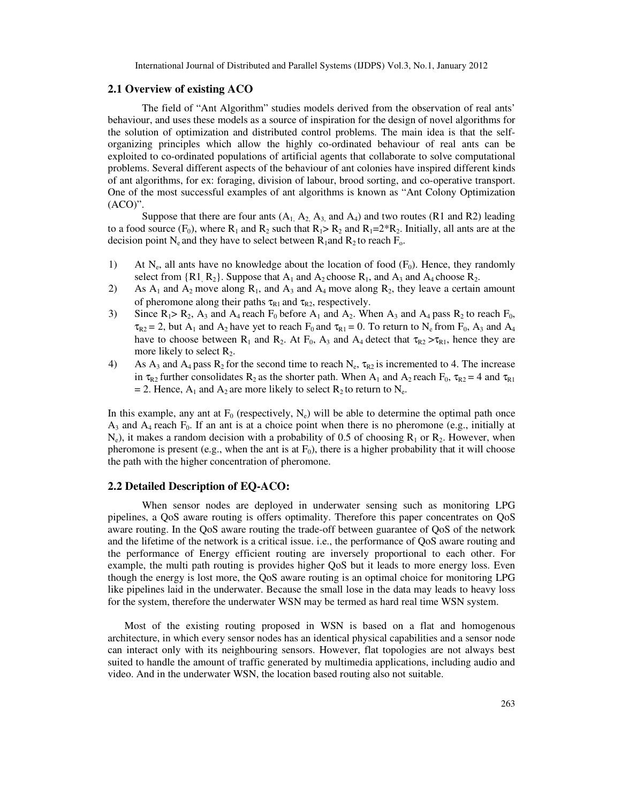## **2.1 Overview of existing ACO**

 The field of "Ant Algorithm" studies models derived from the observation of real ants' behaviour, and uses these models as a source of inspiration for the design of novel algorithms for the solution of optimization and distributed control problems. The main idea is that the selforganizing principles which allow the highly co-ordinated behaviour of real ants can be exploited to co-ordinated populations of artificial agents that collaborate to solve computational problems. Several different aspects of the behaviour of ant colonies have inspired different kinds of ant algorithms, for ex: foraging, division of labour, brood sorting, and co-operative transport. One of the most successful examples of ant algorithms is known as "Ant Colony Optimization (ACO)".

Suppose that there are four ants  $(A_1, A_2, A_3, A_4)$  and two routes (R1 and R2) leading to a food source (F<sub>0</sub>), where R<sub>1</sub> and R<sub>2</sub> such that R<sub>1</sub>> R<sub>2</sub> and R<sub>1</sub>=2\*R<sub>2</sub>. Initially, all ants are at the decision point N<sub>e</sub> and they have to select between  $R_1$  and  $R_2$  to reach  $F_0$ .

- 1) At  $N_e$ , all ants have no knowledge about the location of food  $(F_0)$ . Hence, they randomly select from  $\{R1, R_2\}$ . Suppose that  $A_1$  and  $A_2$  choose  $R_1$ , and  $A_3$  and  $A_4$  choose  $R_2$ .
- 2) As  $A_1$  and  $A_2$  move along  $R_1$ , and  $A_3$  and  $A_4$  move along  $R_2$ , they leave a certain amount of pheromone along their paths  $\tau_{R1}$  and  $\tau_{R2}$ , respectively.
- 3) Since  $R_1 > R_2$ ,  $A_3$  and  $A_4$  reach  $F_0$  before  $A_1$  and  $A_2$ . When  $A_3$  and  $A_4$  pass  $R_2$  to reach  $F_0$ ,  $\tau_{R2} = 2$ , but A<sub>1</sub> and A<sub>2</sub> have yet to reach F<sub>0</sub> and  $\tau_{R1} = 0$ . To return to N<sub>e</sub> from F<sub>0</sub>, A<sub>3</sub> and A<sub>4</sub> have to choose between  $R_1$  and  $R_2$ . At  $F_0$ ,  $A_3$  and  $A_4$  detect that  $\tau_{R2} > \tau_{R1}$ , hence they are more likely to select  $R_2$ .
- 4) As A<sub>3</sub> and A<sub>4</sub> pass R<sub>2</sub> for the second time to reach N<sub>e</sub>,  $\tau_{R2}$  is incremented to 4. The increase in  $\tau_{R2}$  further consolidates R<sub>2</sub> as the shorter path. When A<sub>1</sub> and A<sub>2</sub> reach F<sub>0</sub>,  $\tau_{R2} = 4$  and  $\tau_{R1}$ = 2. Hence,  $A_1$  and  $A_2$  are more likely to select  $R_2$  to return to  $N_e$ .

In this example, any ant at  $F_0$  (respectively,  $N_e$ ) will be able to determine the optimal path once  $A_3$  and  $A_4$  reach  $F_0$ . If an ant is at a choice point when there is no pheromone (e.g., initially at  $N_e$ ), it makes a random decision with a probability of 0.5 of choosing  $R_1$  or  $R_2$ . However, when pheromone is present (e.g., when the ant is at  $F_0$ ), there is a higher probability that it will choose the path with the higher concentration of pheromone.

## **2.2 Detailed Description of EQ-ACO:**

 When sensor nodes are deployed in underwater sensing such as monitoring LPG pipelines, a QoS aware routing is offers optimality. Therefore this paper concentrates on QoS aware routing. In the QoS aware routing the trade-off between guarantee of QoS of the network and the lifetime of the network is a critical issue. i.e., the performance of QoS aware routing and the performance of Energy efficient routing are inversely proportional to each other. For example, the multi path routing is provides higher QoS but it leads to more energy loss. Even though the energy is lost more, the QoS aware routing is an optimal choice for monitoring LPG like pipelines laid in the underwater. Because the small lose in the data may leads to heavy loss for the system, therefore the underwater WSN may be termed as hard real time WSN system.

 Most of the existing routing proposed in WSN is based on a flat and homogenous architecture, in which every sensor nodes has an identical physical capabilities and a sensor node can interact only with its neighbouring sensors. However, flat topologies are not always best suited to handle the amount of traffic generated by multimedia applications, including audio and video. And in the underwater WSN, the location based routing also not suitable.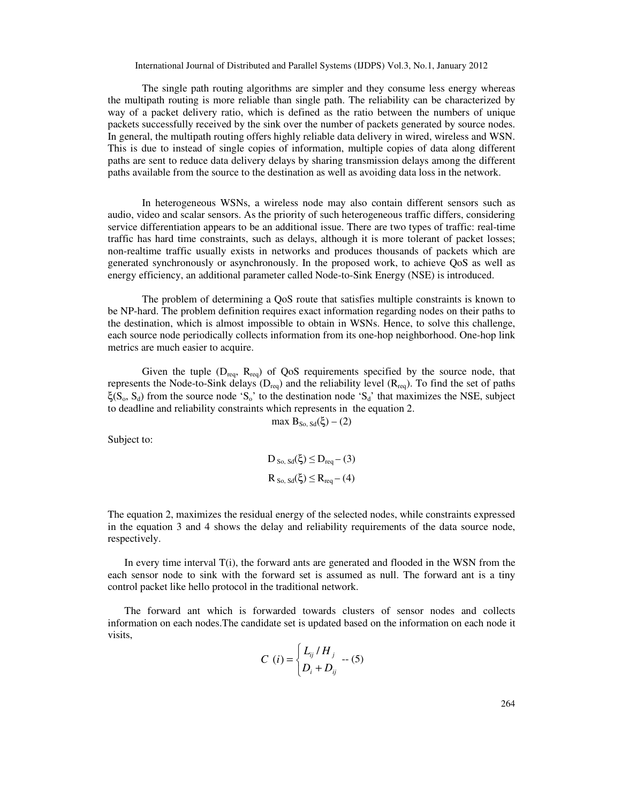The single path routing algorithms are simpler and they consume less energy whereas the multipath routing is more reliable than single path. The reliability can be characterized by way of a packet delivery ratio, which is defined as the ratio between the numbers of unique packets successfully received by the sink over the number of packets generated by source nodes. In general, the multipath routing offers highly reliable data delivery in wired, wireless and WSN. This is due to instead of single copies of information, multiple copies of data along different paths are sent to reduce data delivery delays by sharing transmission delays among the different paths available from the source to the destination as well as avoiding data loss in the network.

In heterogeneous WSNs, a wireless node may also contain different sensors such as audio, video and scalar sensors. As the priority of such heterogeneous traffic differs, considering service differentiation appears to be an additional issue. There are two types of traffic: real-time traffic has hard time constraints, such as delays, although it is more tolerant of packet losses; non-realtime traffic usually exists in networks and produces thousands of packets which are generated synchronously or asynchronously. In the proposed work, to achieve QoS as well as energy efficiency, an additional parameter called Node-to-Sink Energy (NSE) is introduced.

The problem of determining a QoS route that satisfies multiple constraints is known to be NP-hard. The problem definition requires exact information regarding nodes on their paths to the destination, which is almost impossible to obtain in WSNs. Hence, to solve this challenge, each source node periodically collects information from its one-hop neighborhood. One-hop link metrics are much easier to acquire.

Given the tuple  $(D_{req}, R_{req})$  of QoS requirements specified by the source node, that represents the Node-to-Sink delays  $(D_{req})$  and the reliability level  $(R_{req})$ . To find the set of paths  $ξ(S_0, S_d)$  from the source node 'S<sub>o</sub>' to the destination node 'S<sub>a</sub>' that maximizes the NSE, subject to deadline and reliability constraints which represents in the equation 2.

max  $B_{\text{So, Sd}}(\xi) - (2)$ 

Subject to:

$$
D_{\text{So, Sd}}(\xi) \le D_{\text{req}} - (3)
$$
  

$$
R_{\text{So, Sd}}(\xi) \le R_{\text{req}} - (4)
$$

The equation 2, maximizes the residual energy of the selected nodes, while constraints expressed in the equation 3 and 4 shows the delay and reliability requirements of the data source node, respectively.

 In every time interval T(i), the forward ants are generated and flooded in the WSN from the each sensor node to sink with the forward set is assumed as null. The forward ant is a tiny control packet like hello protocol in the traditional network.

 The forward ant which is forwarded towards clusters of sensor nodes and collects information on each nodes.The candidate set is updated based on the information on each node it visits,

$$
C(i) = \begin{cases} L_{ij}/H_j \\ D_i + D_{ij} \end{cases} \text{ -- (5)}
$$

264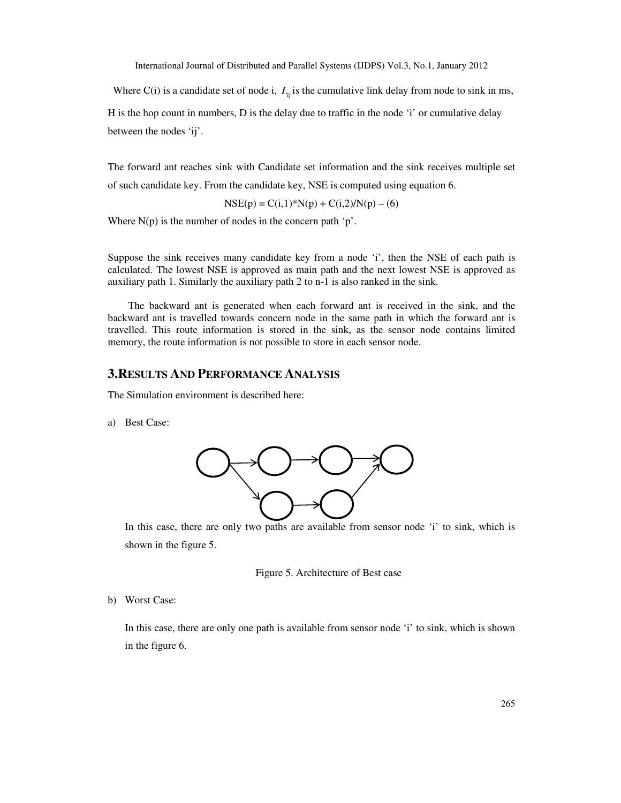Where C(i) is a candidate set of node i,  $L_i$  is the cumulative link delay from node to sink in ms,

H is the hop count in numbers, D is the delay due to traffic in the node 'i' or cumulative delay between the nodes 'ij'.

The forward ant reaches sink with Candidate set information and the sink receives multiple set of such candidate key. From the candidate key, NSE is computed using equation 6.

 $NSE(p) = C(i,1)*N(p) + C(i,2)/N(p) - (6)$ 

Where  $N(p)$  is the number of nodes in the concern path 'p'.

Suppose the sink receives many candidate key from a node 'i', then the NSE of each path is calculated. The lowest NSE is approved as main path and the next lowest NSE is approved as auxiliary path 1. Similarly the auxiliary path 2 to n-1 is also ranked in the sink.

The backward ant is generated when each forward ant is received in the sink, and the backward ant is travelled towards concern node in the same path in which the forward ant is travelled. This route information is stored in the sink, as the sensor node contains limited memory, the route information is not possible to store in each sensor node.

# **3.RESULTS AND PERFORMANCE ANALYSIS**

The Simulation environment is described here:

a) Best Case:



In this case, there are only two paths are available from sensor node 'i' to sink, which is shown in the figure 5.

Figure 5. Architecture of Best case

b) Worst Case:

In this case, there are only one path is available from sensor node 'i' to sink, which is shown in the figure 6.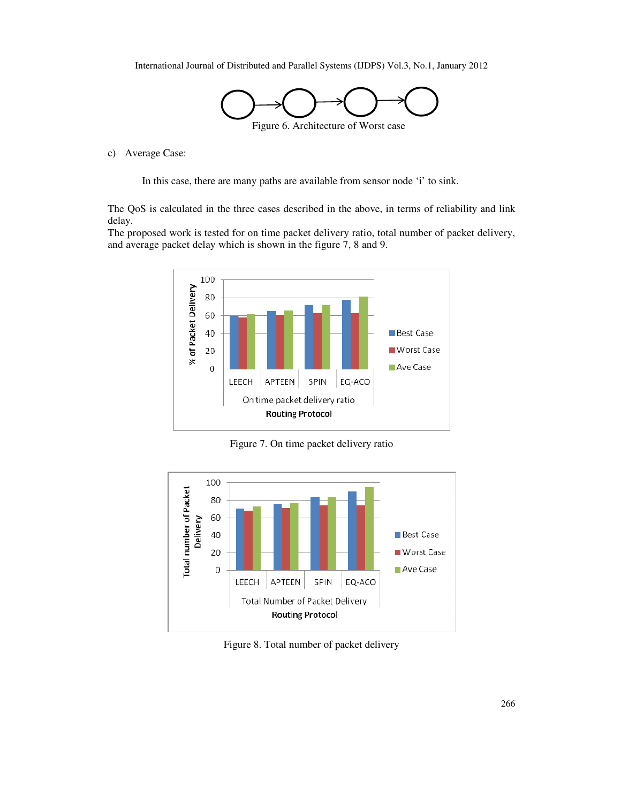

c) Average Case:

In this case, there are many paths are available from sensor node 'i' to sink.

The QoS is calculated in the three cases described in the above, in terms of reliability and link delay.

The proposed work is tested for on time packet delivery ratio, total number of packet delivery, and average packet delay which is shown in the figure 7, 8 and 9.



Figure 7. On time packet delivery ratio



Figure 8. Total number of packet delivery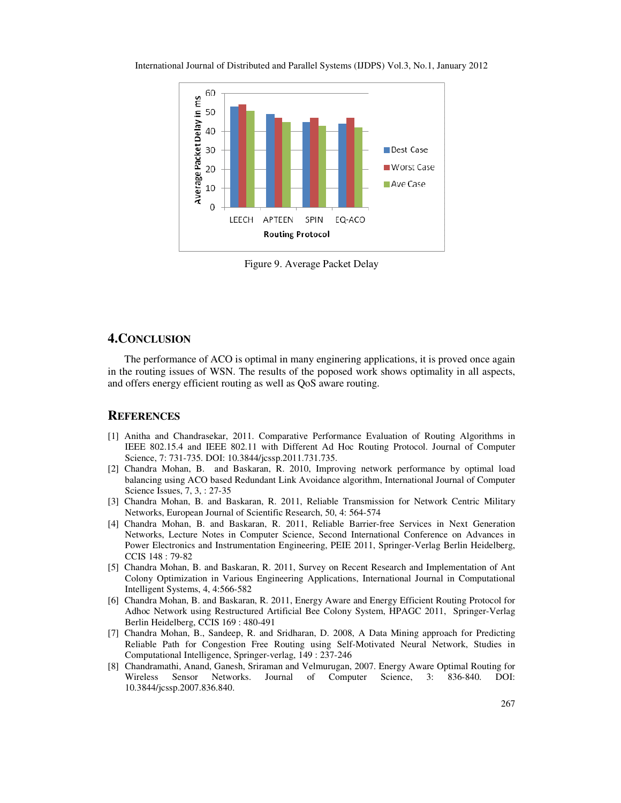

International Journal of Distributed and Parallel Systems (IJDPS) Vol.3, No.1, January 2012

Figure 9. Average Packet Delay

# **4.CONCLUSION**

The performance of ACO is optimal in many enginering applications, it is proved once again in the routing issues of WSN. The results of the poposed work shows optimality in all aspects, and offers energy efficient routing as well as QoS aware routing.

# **REFERENCES**

- [1] Anitha and Chandrasekar, 2011. Comparative Performance Evaluation of Routing Algorithms in IEEE 802.15.4 and IEEE 802.11 with Different Ad Hoc Routing Protocol. Journal of Computer Science, 7: 731-735. DOI: 10.3844/jcssp.2011.731.735.
- [2] Chandra Mohan, B. and Baskaran, R. 2010, Improving network performance by optimal load balancing using ACO based Redundant Link Avoidance algorithm, International Journal of Computer Science Issues, 7, 3, : 27-35
- [3] Chandra Mohan, B. and Baskaran, R. 2011, Reliable Transmission for Network Centric Military Networks, European Journal of Scientific Research, 50, 4: 564-574
- [4] Chandra Mohan, B. and Baskaran, R. 2011, Reliable Barrier-free Services in Next Generation Networks, Lecture Notes in Computer Science, Second International Conference on Advances in Power Electronics and Instrumentation Engineering, PEIE 2011, Springer-Verlag Berlin Heidelberg, CCIS 148 : 79-82
- [5] Chandra Mohan, B. and Baskaran, R. 2011, Survey on Recent Research and Implementation of Ant Colony Optimization in Various Engineering Applications, International Journal in Computational Intelligent Systems, 4, 4:566-582
- [6] Chandra Mohan, B. and Baskaran, R. 2011, Energy Aware and Energy Efficient Routing Protocol for Adhoc Network using Restructured Artificial Bee Colony System, HPAGC 2011, Springer-Verlag Berlin Heidelberg, CCIS 169 : 480-491
- [7] Chandra Mohan, B., Sandeep, R. and Sridharan, D. 2008, A Data Mining approach for Predicting Reliable Path for Congestion Free Routing using Self-Motivated Neural Network, Studies in Computational Intelligence, Springer-verlag, 149 : 237-246
- [8] Chandramathi, Anand, Ganesh, Sriraman and Velmurugan, 2007. Energy Aware Optimal Routing for Sensor Networks. Journal of Computer Science, 3: 836-840. DOI: 10.3844/jcssp.2007.836.840.